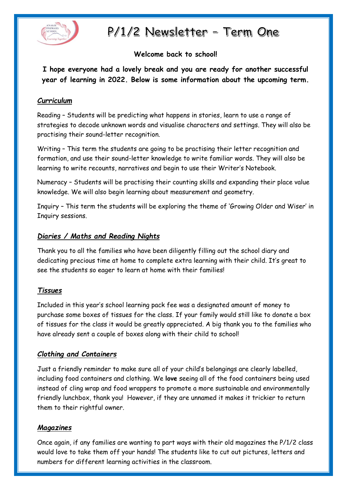

# P/1/2 Newsletter - Term One

## **Welcome back to school!**

**I hope everyone had a lovely break and you are ready for another successful year of learning in 2022. Below is some information about the upcoming term.**

### *Curriculum*

Reading – Students will be predicting what happens in stories, learn to use a range of strategies to decode unknown words and visualise characters and settings. They will also be practising their sound-letter recognition.

Writing – This term the students are going to be practising their letter recognition and formation, and use their sound-letter knowledge to write familiar words. They will also be learning to write recounts, narratives and begin to use their Writer's Notebook.

Numeracy – Students will be practising their counting skills and expanding their place value knowledge. We will also begin learning about measurement and geometry.

Inquiry – This term the students will be exploring the theme of 'Growing Older and Wiser' in Inquiry sessions.

## *Diaries / Maths and Reading Nights*

Thank you to all the families who have been diligently filling out the school diary and dedicating precious time at home to complete extra learning with their child. It's great to see the students so eager to learn at home with their families!

### *Tissues*

Included in this year's school learning pack fee was a designated amount of money to purchase some boxes of tissues for the class. If your family would still like to donate a box of tissues for the class it would be greatly appreciated. A big thank you to the families who have already sent a couple of boxes along with their child to school!

### *Clothing and Containers*

Just a friendly reminder to make sure all of your child's belongings are clearly labelled, including food containers and clothing. We **love** seeing all of the food containers being used instead of cling wrap and food wrappers to promote a more sustainable and environmentally friendly lunchbox, thank you! However, if they are unnamed it makes it trickier to return them to their rightful owner.

### *Magazines*

Once again, if any families are wanting to part ways with their old magazines the P/1/2 class would love to take them off your hands! The students like to cut out pictures, letters and numbers for different learning activities in the classroom.